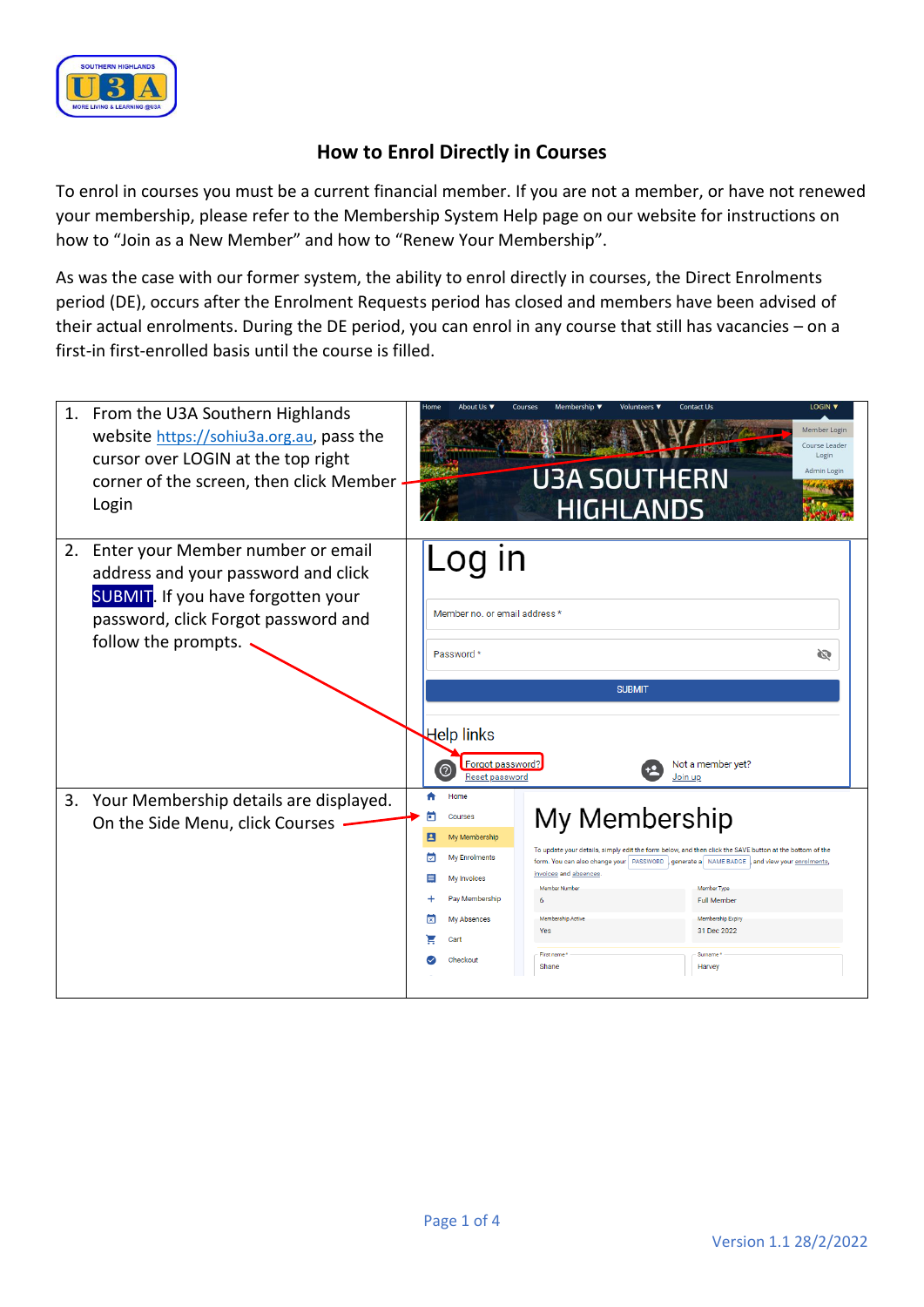

## **How to Enrol Directly in Courses**

To enrol in courses you must be a current financial member. If you are not a member, or have not renewed your membership, please refer to the Membership System Help page on our website for instructions on how to "Join as a New Member" and how to "Renew Your Membership".

As was the case with our former system, the ability to enrol directly in courses, the Direct Enrolments period (DE), occurs after the Enrolment Requests period has closed and members have been advised of their actual enrolments. During the DE period, you can enrol in any course that still has vacancies – on a first-in first-enrolled basis until the course is filled.

|    | 1. From the U3A Southern Highlands<br>website https://sohiu3a.org.au, pass the<br>cursor over LOGIN at the top right<br>corner of the screen, then click Member<br>Login            | LOGIN <b>v</b><br><b>Contact Us</b><br>Home<br>About Us ▼<br>Courses<br>Membership ▼<br>Volunteers $\blacktriangledown$<br>Member Login<br>Course Leader<br>Login<br>Admin Login<br><b>U3A SOUTHERN</b><br><b>HIGHLANDS</b> |                                                                                                                                     |                                                                                                                 |                                                                                                                                                                                                                                                                                                            |   |  |  |
|----|-------------------------------------------------------------------------------------------------------------------------------------------------------------------------------------|-----------------------------------------------------------------------------------------------------------------------------------------------------------------------------------------------------------------------------|-------------------------------------------------------------------------------------------------------------------------------------|-----------------------------------------------------------------------------------------------------------------|------------------------------------------------------------------------------------------------------------------------------------------------------------------------------------------------------------------------------------------------------------------------------------------------------------|---|--|--|
| 2. | Enter your Member number or email<br>address and your password and click<br><b>SUBMIT.</b> If you have forgotten your<br>password, click Forgot password and<br>follow the prompts. |                                                                                                                                                                                                                             | IN<br>LO <sub>1</sub><br>Member no. or email address *<br>Password *<br>Help links                                                  | <b>SUBMIT</b>                                                                                                   |                                                                                                                                                                                                                                                                                                            | Ø |  |  |
|    |                                                                                                                                                                                     | Forgot password?<br>Not a member yet?<br>Reset password<br>Join up                                                                                                                                                          |                                                                                                                                     |                                                                                                                 |                                                                                                                                                                                                                                                                                                            |   |  |  |
| 3. | Your Membership details are displayed.<br>On the Side Menu, click Courses                                                                                                           | п<br>2<br>☑<br>⊠                                                                                                                                                                                                            | Home<br>Courses<br>My Membership<br><b>Mv Enrolments</b><br>My Invoices<br>Pay Membership<br><b>My Absences</b><br>Cart<br>Checkout | My Membership<br>invoices and absences<br>Member Number<br>6<br>Membership Active<br>Yes<br>First name<br>Shane | To update your details, simply edit the form below, and then click the SAVE button at the bottom of the<br>form. You can also change your   PASSWORD  , generate a   NAME BADGE  , and view your enrolments,<br>Member Type<br><b>Full Member</b><br>Membership Expiry<br>31 Dec 2022<br>Surname<br>Harvey |   |  |  |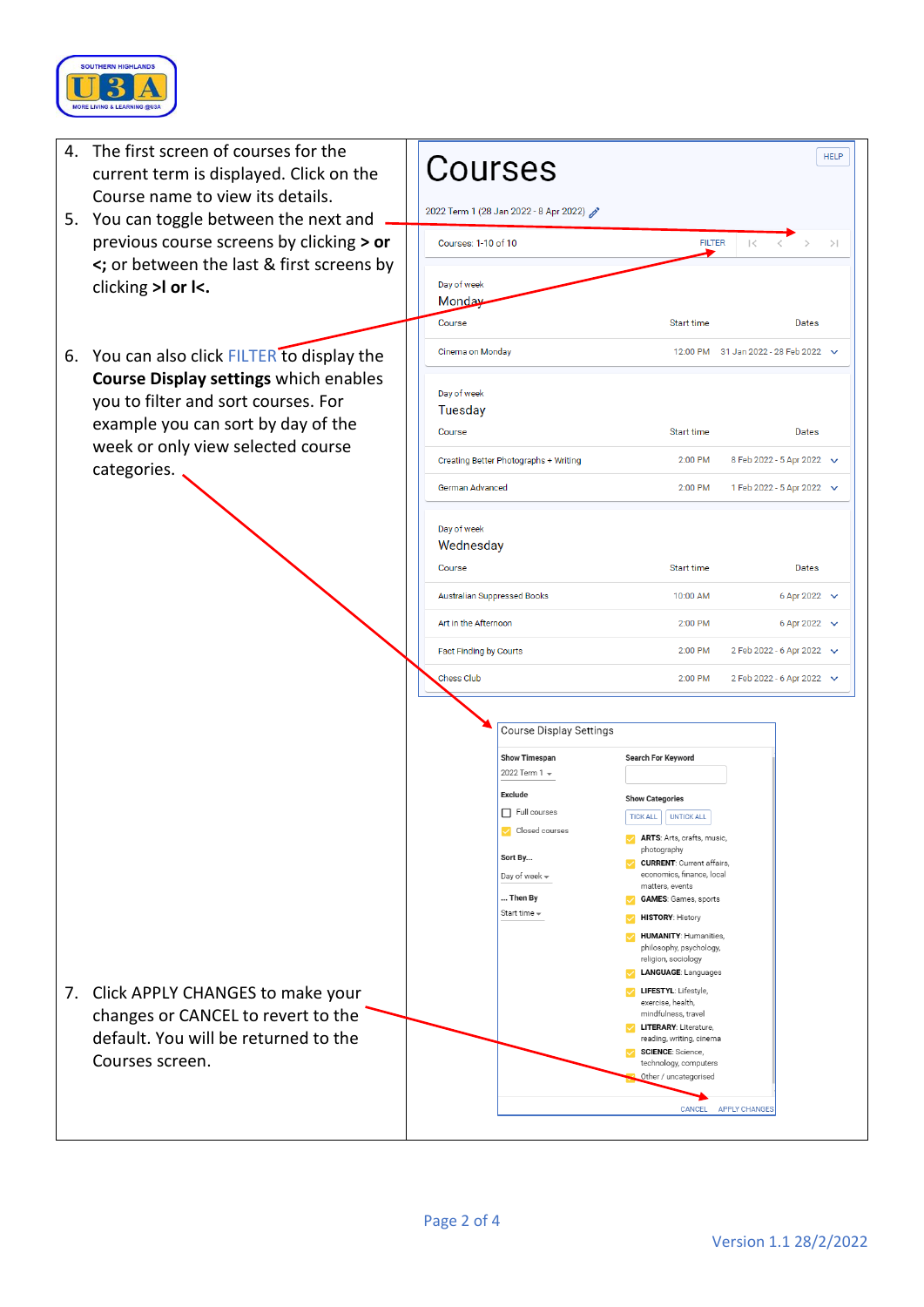

| 4. | The first screen of courses for the<br>current term is displayed. Click on the<br>Course name to view its details.<br>5. You can toggle between the next and<br>previous course screens by clicking > or<br><; or between the last & first screens by<br>clicking >I or I<. | Courses<br>2022 Term 1 (28 Jan 2022 - 8 Apr 2022)                                                                                                                                               |                                                                                                                                                                                                                                                                                                                                                                                                                                                                                                                                                                                                        | <b>HELP</b>                                            |     |
|----|-----------------------------------------------------------------------------------------------------------------------------------------------------------------------------------------------------------------------------------------------------------------------------|-------------------------------------------------------------------------------------------------------------------------------------------------------------------------------------------------|--------------------------------------------------------------------------------------------------------------------------------------------------------------------------------------------------------------------------------------------------------------------------------------------------------------------------------------------------------------------------------------------------------------------------------------------------------------------------------------------------------------------------------------------------------------------------------------------------------|--------------------------------------------------------|-----|
|    |                                                                                                                                                                                                                                                                             | Courses: 1-10 of 10                                                                                                                                                                             | <b>FILTER</b>                                                                                                                                                                                                                                                                                                                                                                                                                                                                                                                                                                                          | $\vert \langle$                                        | $>$ |
|    |                                                                                                                                                                                                                                                                             | Day of week<br>Monday<br>Course                                                                                                                                                                 | Start time                                                                                                                                                                                                                                                                                                                                                                                                                                                                                                                                                                                             | Dates                                                  |     |
|    | 6. You can also click FILTER to display the<br><b>Course Display settings which enables</b><br>you to filter and sort courses. For<br>example you can sort by day of the<br>week or only view selected course<br>categories.                                                | Cinema on Monday                                                                                                                                                                                |                                                                                                                                                                                                                                                                                                                                                                                                                                                                                                                                                                                                        | 12:00 PM 31 Jan 2022 - 28 Feb 2022 $\sim$              |     |
|    |                                                                                                                                                                                                                                                                             | Day of week<br><b>Tuesday</b><br>Course                                                                                                                                                         | Start time                                                                                                                                                                                                                                                                                                                                                                                                                                                                                                                                                                                             | Dates                                                  |     |
|    |                                                                                                                                                                                                                                                                             | Creating Better Photographs + Writing                                                                                                                                                           | 2:00 PM                                                                                                                                                                                                                                                                                                                                                                                                                                                                                                                                                                                                | 8 Feb 2022 - 5 Apr 2022 $\sqrt{}$                      |     |
|    |                                                                                                                                                                                                                                                                             | German Advanced                                                                                                                                                                                 | 2:00 PM                                                                                                                                                                                                                                                                                                                                                                                                                                                                                                                                                                                                | 1 Feb 2022 - 5 Apr 2022 $\vee$                         |     |
|    |                                                                                                                                                                                                                                                                             | Day of week<br>Wednesday                                                                                                                                                                        |                                                                                                                                                                                                                                                                                                                                                                                                                                                                                                                                                                                                        |                                                        |     |
|    |                                                                                                                                                                                                                                                                             | Course                                                                                                                                                                                          | Start time                                                                                                                                                                                                                                                                                                                                                                                                                                                                                                                                                                                             | Dates                                                  |     |
|    |                                                                                                                                                                                                                                                                             | <b>Australian Suppressed Books</b><br>Art in the Afternoon                                                                                                                                      | 10:00 AM<br>2:00 PM                                                                                                                                                                                                                                                                                                                                                                                                                                                                                                                                                                                    | 6 Apr 2022 $\sqrt{}$                                   |     |
|    |                                                                                                                                                                                                                                                                             | Fact Finding by Courts                                                                                                                                                                          | 2:00 PM                                                                                                                                                                                                                                                                                                                                                                                                                                                                                                                                                                                                | 6 Apr 2022 $\sqrt{}$<br>2 Feb 2022 - 6 Apr 2022 $\vee$ |     |
|    |                                                                                                                                                                                                                                                                             | Chess Club                                                                                                                                                                                      | 2:00 PM                                                                                                                                                                                                                                                                                                                                                                                                                                                                                                                                                                                                | 2 Feb 2022 - 6 Apr 2022 $\vee$                         |     |
| 7. | Click APPLY CHANGES to make your<br>changes or CANCEL to revert to the<br>default. You will be returned to the<br>Courses screen.                                                                                                                                           | <b>Course Display Settings</b><br><b>Show Timespan</b><br>2022 Term 1 =<br><b>Exclude</b><br>$\Box$ Full courses<br>Closed courses<br>Sort By<br>Day of week -<br>Then By<br>Start time $\star$ | <b>Search For Keyword</b><br><b>Show Categories</b><br><b>TICK ALL</b><br><b>UNTICK ALL</b><br>ARTS: Arts, crafts, music,<br>photography<br><b>CURRENT: Current affairs,</b><br>economics, finance, local<br>matters, events<br><b>GAMES:</b> Games, sports<br><b>HISTORY: History</b><br><b>HUMANITY: Humanities,</b><br>philosophy, psychology,<br>religion, sociology<br>LANGUAGE: Languages<br>LIFESTYL: Lifestyle,<br>exercise, health,<br>mindfulness, travel<br><b>LITERARY: Literature,</b><br>reading, writing, cinema<br>SCIENCE: Science,<br>technology, computers<br>Other / uncategorised | CANCEL APPLY CHANGES                                   |     |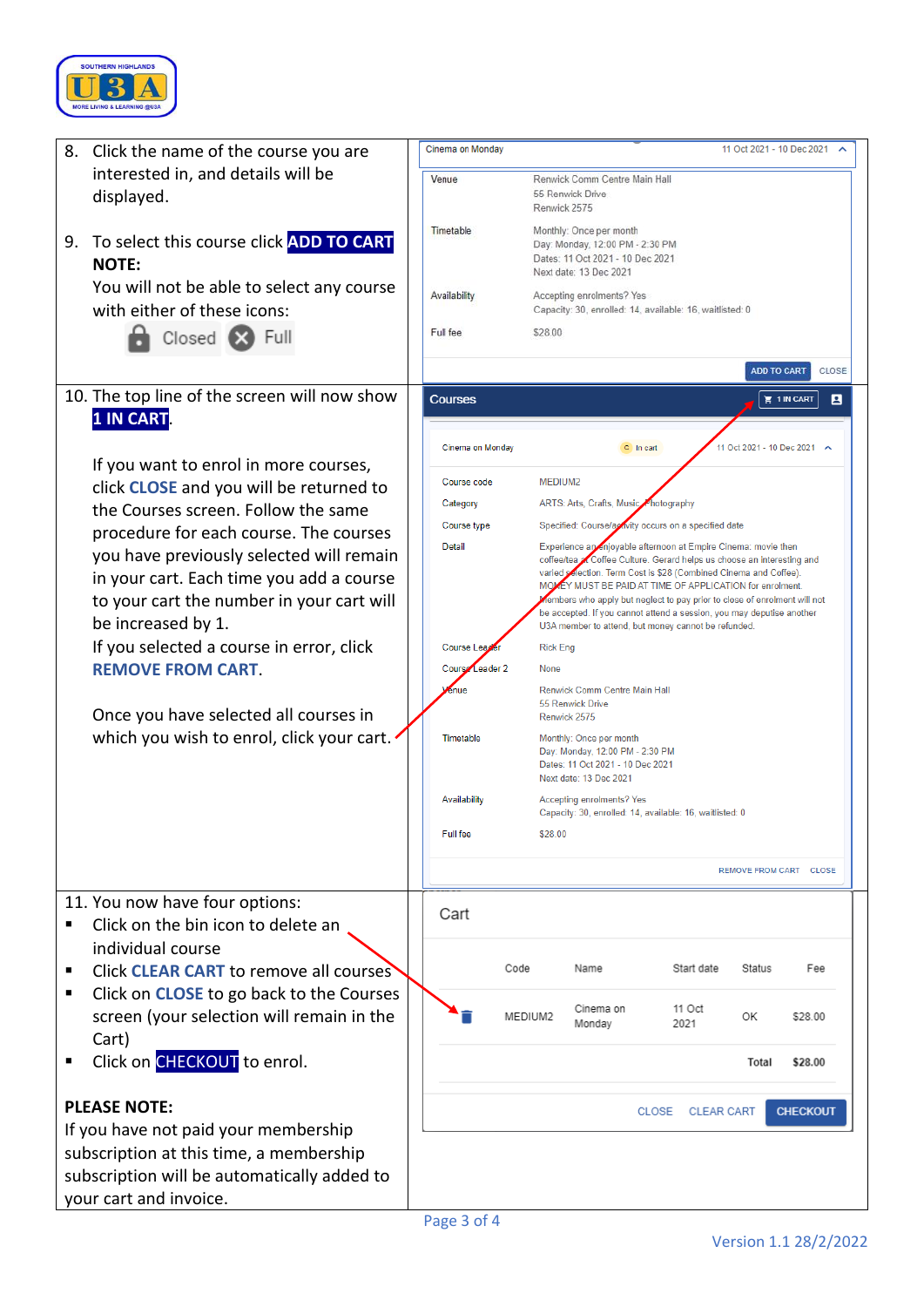